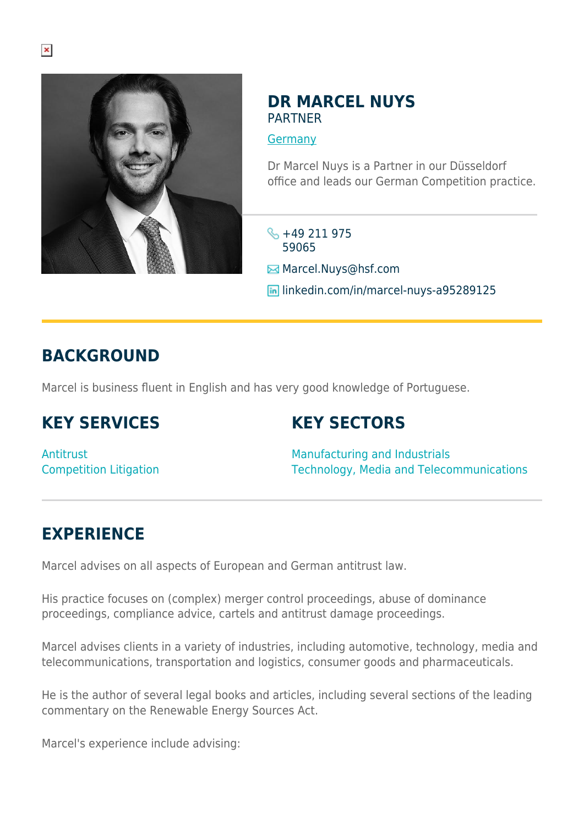

#### **DR MARCEL NUYS** PARTNER

**[Germany](https://www.herbertsmithfreehills.com/where-we-work/germany)** 

Dr Marcel Nuys is a Partner in our Düsseldorf office and leads our German Competition practice.

 $\frac{1}{2}$  +49 211 975 59065

Marcel.Nuys@hsf.com

**in** linkedin.com/in/marcel-nuys-a95289125

#### **BACKGROUND**

Marcel is business fluent in English and has very good knowledge of Portuguese.

### **KEY SERVICES**

## **KEY SECTORS**

**Antitrust** Competition Litigation

Manufacturing and Industrials Technology, Media and Telecommunications

## **EXPERIENCE**

Marcel advises on all aspects of European and German antitrust law.

His practice focuses on (complex) merger control proceedings, abuse of dominance proceedings, compliance advice, cartels and antitrust damage proceedings.

Marcel advises clients in a variety of industries, including automotive, technology, media and telecommunications, transportation and logistics, consumer goods and pharmaceuticals.

He is the author of several legal books and articles, including several sections of the leading commentary on the Renewable Energy Sources Act.

Marcel's experience include advising: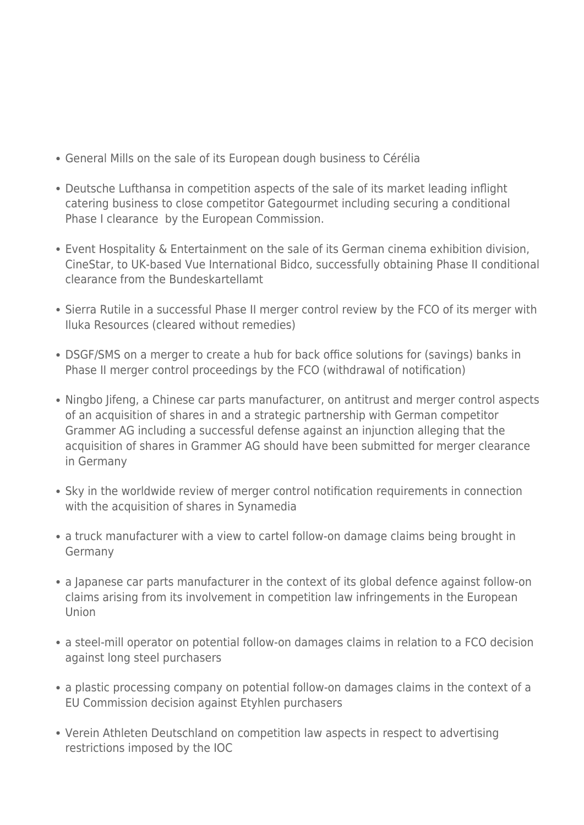- General Mills on the sale of its European dough business to Cérélia
- Deutsche Lufthansa in competition aspects of the sale of its market leading inflight catering business to close competitor Gategourmet including securing a conditional Phase I clearance by the European Commission.
- Event Hospitality & Entertainment on the sale of its German cinema exhibition division, CineStar, to UK-based Vue International Bidco, successfully obtaining Phase II conditional clearance from the Bundeskartellamt
- Sierra Rutile in a successful Phase II merger control review by the FCO of its merger with Iluka Resources (cleared without remedies)
- DSGF/SMS on a merger to create a hub for back office solutions for (savings) banks in Phase II merger control proceedings by the FCO (withdrawal of notification)
- Ningbo Jifeng, a Chinese car parts manufacturer, on antitrust and merger control aspects of an acquisition of shares in and a strategic partnership with German competitor Grammer AG including a successful defense against an injunction alleging that the acquisition of shares in Grammer AG should have been submitted for merger clearance in Germany
- Sky in the worldwide review of merger control notification requirements in connection with the acquisition of shares in Synamedia
- a truck manufacturer with a view to cartel follow-on damage claims being brought in Germany
- a Japanese car parts manufacturer in the context of its global defence against follow-on claims arising from its involvement in competition law infringements in the European Union
- a steel-mill operator on potential follow-on damages claims in relation to a FCO decision against long steel purchasers
- a plastic processing company on potential follow-on damages claims in the context of a EU Commission decision against Etyhlen purchasers
- Verein Athleten Deutschland on competition law aspects in respect to advertising restrictions imposed by the IOC